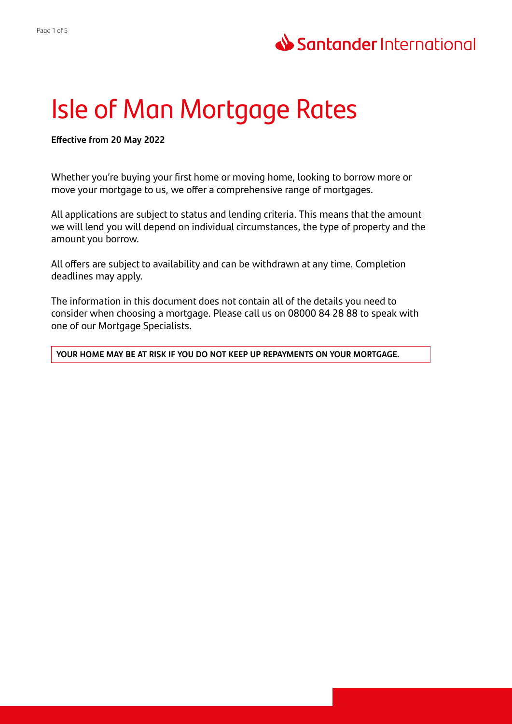# Isle of Man Mortgage Rates

**Effective from 20 May 2022**

Whether you're buying your first home or moving home, looking to borrow more or move your mortgage to us, we offer a comprehensive range of mortgages.

All applications are subject to status and lending criteria. This means that the amount we will lend you will depend on individual circumstances, the type of property and the amount you borrow.

All offers are subject to availability and can be withdrawn at any time. Completion deadlines may apply.

The information in this document does not contain all of the details you need to consider when choosing a mortgage. Please call us on 08000 84 28 88 to speak with one of our Mortgage Specialists.

**YOUR HOME MAY BE AT RISK IF YOU DO NOT KEEP UP REPAYMENTS ON YOUR MORTGAGE.**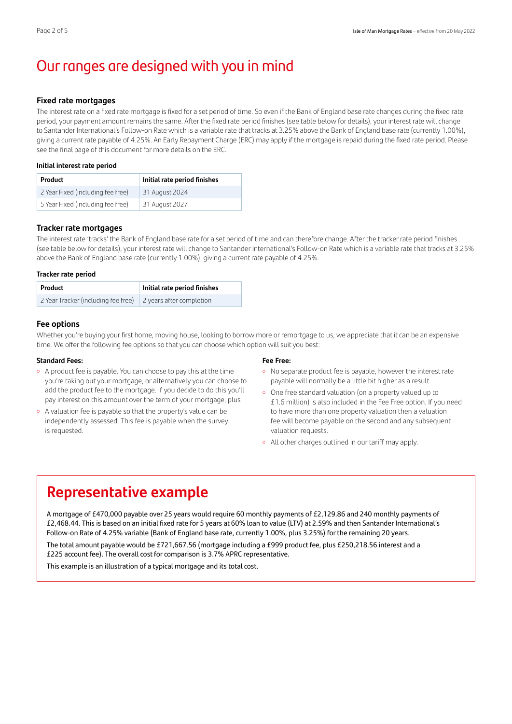# Our ranges are designed with you in mind

#### **Fixed rate mortgages**

The interest rate on a fixed rate mortgage is fixed for a set period of time. So even if the Bank of England base rate changes during the fixed rate period, your payment amount remains the same. After the fixed rate period finishes (see table below for details), your interest rate will change to Santander International's Follow-on Rate which is a variable rate that tracks at 3.25% above the Bank of England base rate (currently 1.00%), giving a current rate payable of 4.25%. An Early Repayment Charge (ERC) may apply if the mortgage is repaid during the fixed rate period. Please see the final page of this document for more details on the ERC.

#### **Initial interest rate period**

| <b>Product</b>                    | Initial rate period finishes |
|-----------------------------------|------------------------------|
| 2 Year Fixed (including fee free) | 31 August 2024               |
| 5 Year Fixed (including fee free) | 31 August 2027               |

#### **Tracker rate mortgages**

The interest rate 'tracks' the Bank of England base rate for a set period of time and can therefore change. After the tracker rate period finishes (see table below for details), your interest rate will change to Santander International's Follow-on Rate which is a variable rate that tracks at 3.25% above the Bank of England base rate (currently 1.00%), giving a current rate payable of 4.25%.

#### **Tracker rate period**

| Product                                                      | Initial rate period finishes |
|--------------------------------------------------------------|------------------------------|
| 2 Year Tracker (including fee free) 2 years after completion |                              |

## **Fee options**

Whether you're buying your first home, moving house, looking to borrow more or remortgage to us, we appreciate that it can be an expensive time. We offer the following fee options so that you can choose which option will suit you best:

#### **Standard Fees:**

- <sup>o</sup> A product fee is payable. You can choose to pay this at the time you're taking out your mortgage, or alternatively you can choose to add the product fee to the mortgage. If you decide to do this you'll pay interest on this amount over the term of your mortgage, plus
- <sup>o</sup> A valuation fee is payable so that the property's value can be independently assessed. This fee is payable when the survey is requested.

#### **Fee Free:**

- <sup>o</sup> No separate product fee is payable, however the interest rate payable will normally be a little bit higher as a result.
- One free standard valuation (on a property valued up to £1.6 million) is also included in the Fee Free option. If you need to have more than one property valuation then a valuation fee will become payable on the second and any subsequent valuation requests.
- All other charges outlined in our tariff may apply.

# **Representative example**

A mortgage of £470,000 payable over 25 years would require 60 monthly payments of £2,129.86 and 240 monthly payments of £2,468.44. This is based on an initial fixed rate for 5 years at 60% loan to value (LTV) at 2.59% and then Santander International's Follow‑on Rate of 4.25% variable (Bank of England base rate, currently 1.00%, plus 3.25%) for the remaining 20 years. The total amount payable would be £721,667.56 (mortgage including a £999 product fee, plus £250,218.56 interest and a £225 account fee). The overall cost for comparison is 3.7% APRC representative.

This example is an illustration of a typical mortgage and its total cost.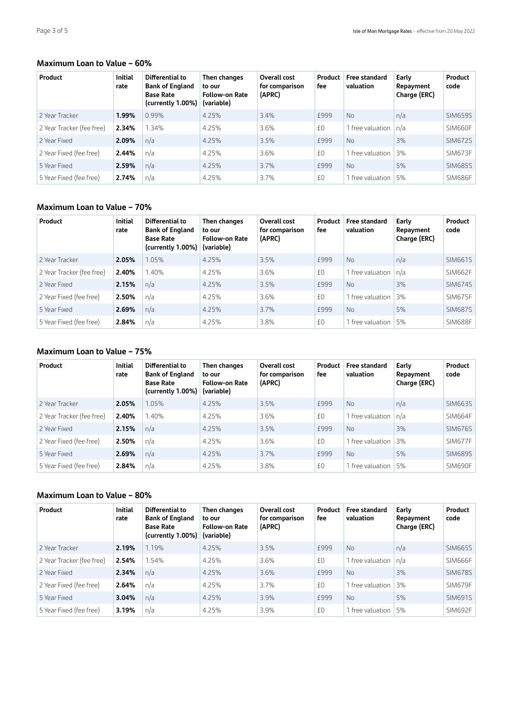# **Maximum Loan to Value – 60%**

| Product                   | <b>Initial</b><br>rate | Differential to<br><b>Bank of England</b><br><b>Base Rate</b><br>(currently 1.00%) | Then changes<br>to our<br><b>Follow-on Rate</b><br>(variable) | Overall cost<br>for comparison<br>(APRC) | Product<br>fee | Free standard<br>valuation | Early<br>Repayment<br>Charge (ERC) | Product<br>code |
|---------------------------|------------------------|------------------------------------------------------------------------------------|---------------------------------------------------------------|------------------------------------------|----------------|----------------------------|------------------------------------|-----------------|
| 2 Year Tracker            | 1.99%                  | 0.99%                                                                              | 4.25%                                                         | 3.4%                                     | <b>£999</b>    | <b>No</b>                  | n/a                                | <b>SIM659S</b>  |
| 2 Year Tracker (fee free) | 2.34%                  | 1.34%                                                                              | 4.25%                                                         | 3.6%                                     | £0             | 1 free valuation           | n/a                                | <b>SIM660F</b>  |
| 2 Year Fixed              | 2.09%                  | n/a                                                                                | 4.25%                                                         | 3.5%                                     | £999           | N <sub>o</sub>             | 3%                                 | SIM672S         |
| 2 Year Fixed (fee free)   | 2.44%                  | n/a                                                                                | 4.25%                                                         | 3.6%                                     | £0             | 1 free valuation           | 3%                                 | SIM673F         |
| 5 Year Fixed              | 2.59%                  | n/a                                                                                | 4.25%                                                         | 3.7%                                     | £999           | N <sub>0</sub>             | 5%                                 | <b>SIM685S</b>  |
| 5 Year Fixed (fee free)   | 2.74%                  | n/a                                                                                | 4.25%                                                         | 3.7%                                     | £0             | 1 free valuation           | 5%                                 | <b>SIM686F</b>  |

# **Maximum Loan to Value – 70%**

| Product                   | <b>Initial</b><br>rate | Differential to<br><b>Bank of England</b><br><b>Base Rate</b><br>(currently 1.00%) | Then changes<br>to our<br><b>Follow-on Rate</b><br>(variable) | Overall cost<br>for comparison<br>(APRC) | Product<br>fee | <b>Free standard</b><br>valuation | Early<br>Repayment<br>Charge (ERC) | Product<br>code |
|---------------------------|------------------------|------------------------------------------------------------------------------------|---------------------------------------------------------------|------------------------------------------|----------------|-----------------------------------|------------------------------------|-----------------|
| 2 Year Tracker            | 2.05%                  | 1.05%                                                                              | 4.25%                                                         | 3.5%                                     | £999           | No.                               | n/a                                | SIM661S         |
| 2 Year Tracker (fee free) | 2.40%                  | 1.40%                                                                              | 4.25%                                                         | 3.6%                                     | £0             | 1 free valuation                  | n/a                                | SIM662F         |
| 2 Year Fixed              | 2.15%                  | n/a                                                                                | 4.25%                                                         | 3.5%                                     | £999           | N <sub>0</sub>                    | 3%                                 | <b>SIM674S</b>  |
| 2 Year Fixed (fee free)   | 2.50%                  | n/a                                                                                | 4.25%                                                         | 3.6%                                     | £0             | 1 free valuation                  | 3%                                 | SIM675F         |
| 5 Year Fixed              | 2.69%                  | n/a                                                                                | 4.25%                                                         | 3.7%                                     | £999           | No.                               | 5%                                 | <b>SIM687S</b>  |
| 5 Year Fixed (fee free)   | 2.84%                  | n/a                                                                                | 4.25%                                                         | 3.8%                                     | £0             | 1 free valuation                  | 5%                                 | SIM688F         |

# **Maximum Loan to Value – 75%**

| Product                   | <b>Initial</b><br>rate | Differential to<br><b>Bank of England</b><br><b>Base Rate</b><br>(currently 1.00%) | Then changes<br>to our<br><b>Follow-on Rate</b><br>(variable) | Overall cost<br>for comparison<br>(APRC) | Product<br>fee | Free standard<br>valuation | Early<br>Repayment<br>Charge (ERC) | Product<br>code |
|---------------------------|------------------------|------------------------------------------------------------------------------------|---------------------------------------------------------------|------------------------------------------|----------------|----------------------------|------------------------------------|-----------------|
| 2 Year Tracker            | 2.05%                  | 1.05%                                                                              | 4.25%                                                         | 3.5%                                     | £999           | No.                        | n/a                                | <b>SIM663S</b>  |
| 2 Year Tracker (fee free) | 2.40%                  | 1.40%                                                                              | 4.25%                                                         | 3.6%                                     | £0             | 1 free valuation           | n/a                                | SIM664F         |
| 2 Year Fixed              | 2.15%                  | n/a                                                                                | 4.25%                                                         | 3.5%                                     | £999           | N <sub>0</sub>             | 3%                                 | <b>SIM676S</b>  |
| 2 Year Fixed (fee free)   | 2.50%                  | n/a                                                                                | 4.25%                                                         | 3.6%                                     | £0             | 1 free valuation           | 3%                                 | SIM677F         |
| 5 Year Fixed              | 2.69%                  | n/a                                                                                | 4.25%                                                         | 3.7%                                     | £999           | <b>No</b>                  | 5%                                 | <b>SIM689S</b>  |
| 5 Year Fixed (fee free)   | 2.84%                  | n/a                                                                                | 4.25%                                                         | 3.8%                                     | £0             | 1 free valuation           | 5%                                 | SIM690F         |

# **Maximum Loan to Value – 80%**

| Product                   | <b>Initial</b><br>rate | Differential to<br><b>Bank of England</b><br><b>Base Rate</b><br>(currently 1.00%) | Then changes<br>to our<br><b>Follow-on Rate</b><br>(variable) | Overall cost<br>for comparison<br>(APRC) | Product<br>fee | <b>Free standard</b><br>valuation | Early<br>Repayment<br>Charge (ERC) | Product<br>code |
|---------------------------|------------------------|------------------------------------------------------------------------------------|---------------------------------------------------------------|------------------------------------------|----------------|-----------------------------------|------------------------------------|-----------------|
| 2 Year Tracker            | 2.19%                  | 1.19%                                                                              | 4.25%                                                         | 3.5%                                     | £999           | No                                | n/a                                | SIM665S         |
| 2 Year Tracker (fee free) | 2.54%                  | .54%                                                                               | 4.25%                                                         | 3.6%                                     | £0             | free valuation                    | n/a                                | <b>SIM666F</b>  |
| 2 Year Fixed              | 2.34%                  | n/a                                                                                | 4.25%                                                         | 3.6%                                     | £999           | No                                | 3%                                 | <b>SIM678S</b>  |
| 2 Year Fixed (fee free)   | 2.64%                  | n/a                                                                                | 4.25%                                                         | 3.7%                                     | £0             | free valuation                    | 3%                                 | SIM679F         |
| 5 Year Fixed              | 3.04%                  | n/a                                                                                | 4.25%                                                         | 3.9%                                     | £999           | No                                | 5%                                 | <b>SIM691S</b>  |
| 5 Year Fixed (fee free)   | 3.19%                  | n/a                                                                                | 4.25%                                                         | 3.9%                                     | £0             | free valuation                    | 5%                                 | SIM692F         |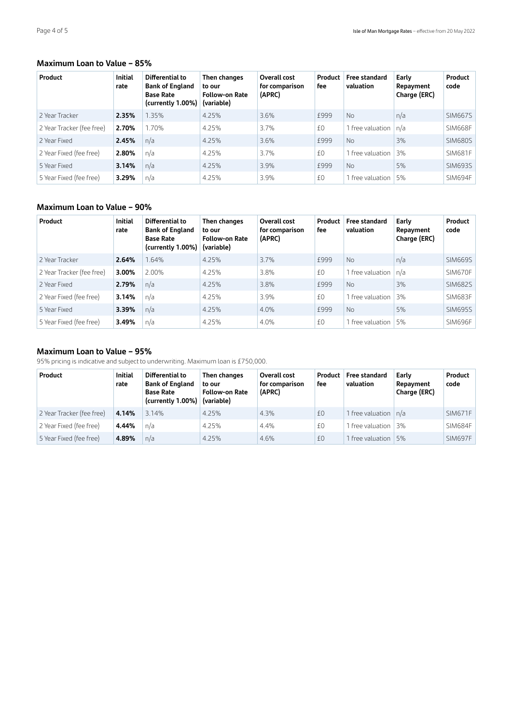# **Maximum Loan to Value – 85%**

| Product                   | <b>Initial</b><br>rate | Differential to<br><b>Bank of England</b><br><b>Base Rate</b><br>(currently 1.00%) | Then changes<br>to our<br><b>Follow-on Rate</b><br>(variable) | Overall cost<br>for comparison<br>(APRC) | Product<br>fee | Free standard<br>valuation | Early<br>Repayment<br>Charge (ERC) | Product<br>code |
|---------------------------|------------------------|------------------------------------------------------------------------------------|---------------------------------------------------------------|------------------------------------------|----------------|----------------------------|------------------------------------|-----------------|
| 2 Year Tracker            | 2.35%                  | 1.35%                                                                              | 4.25%                                                         | 3.6%                                     | £999           | No.                        | n/a                                | <b>SIM667S</b>  |
| 2 Year Tracker (fee free) | 2.70%                  | 1.70%                                                                              | 4.25%                                                         | 3.7%                                     | £0             | 1 free valuation           | n/a                                | <b>SIM668F</b>  |
| 2 Year Fixed              | 2.45%                  | n/a                                                                                | 4.25%                                                         | 3.6%                                     | £999           | N <sub>0</sub>             | 3%                                 | <b>SIM680S</b>  |
| 2 Year Fixed (fee free)   | 2.80%                  | n/a                                                                                | 4.25%                                                         | 3.7%                                     | £0             | 1 free valuation           | 3%                                 | <b>SIM681F</b>  |
| 5 Year Fixed              | 3.14%                  | n/a                                                                                | 4.25%                                                         | 3.9%                                     | £999           | <b>No</b>                  | 5%                                 | <b>SIM693S</b>  |
| 5 Year Fixed (fee free)   | 3.29%                  | n/a                                                                                | 4.25%                                                         | 3.9%                                     | £0             | 1 free valuation           | 5%                                 | SIM694F         |

# **Maximum Loan to Value – 90%**

| Product                   | <b>Initial</b><br>rate | Differential to<br><b>Bank of England</b><br><b>Base Rate</b><br>(currently 1.00%) | Then changes<br>to our<br><b>Follow-on Rate</b><br>(variable) | Overall cost<br>for comparison<br>(APRC) | Product<br>fee | <b>Free standard</b><br>valuation | Early<br>Repayment<br>Charge (ERC) | Product<br>code |
|---------------------------|------------------------|------------------------------------------------------------------------------------|---------------------------------------------------------------|------------------------------------------|----------------|-----------------------------------|------------------------------------|-----------------|
| 2 Year Tracker            | 2.64%                  | 1.64%                                                                              | 4.25%                                                         | 3.7%                                     | £999           | No.                               | n/a                                | <b>SIM669S</b>  |
| 2 Year Tracker (fee free) | 3.00%                  | 2.00%                                                                              | 4.25%                                                         | 3.8%                                     | £0             | 1 free valuation                  | n/a                                | SIM670F         |
| 2 Year Fixed              | 2.79%                  | n/a                                                                                | 4.25%                                                         | 3.8%                                     | £999           | N <sub>0</sub>                    | 3%                                 | <b>SIM682S</b>  |
| 2 Year Fixed (fee free)   | 3.14%                  | n/a                                                                                | 4.25%                                                         | 3.9%                                     | £0             | 1 free valuation                  | 3%                                 | SIM683F         |
| 5 Year Fixed              | 3.39%                  | n/a                                                                                | 4.25%                                                         | 4.0%                                     | £999           | N <sub>0</sub>                    | 5%                                 | <b>SIM695S</b>  |
| 5 Year Fixed (fee free)   | 3.49%                  | n/a                                                                                | 4.25%                                                         | 4.0%                                     | £0             | 1 free valuation                  | 5%                                 | SIM696F         |

# **Maximum Loan to Value – 95%**

95% pricing is indicative and subject to underwriting. Maximum loan is £750,000.

| Product                   | <b>Initial</b><br>rate | Differential to<br><b>Bank of England</b><br><b>Base Rate</b><br>(currently $1.00\%$ ) | Then changes<br>to our<br><b>Follow-on Rate</b><br>(variable) | Overall cost<br>for comparison<br>(APRC) | Product<br>fee | <b>Free standard</b><br>valuation | Early<br>Repayment<br>Charge (ERC) | Product<br>code |
|---------------------------|------------------------|----------------------------------------------------------------------------------------|---------------------------------------------------------------|------------------------------------------|----------------|-----------------------------------|------------------------------------|-----------------|
| 2 Year Tracker (fee free) | 4.14%                  | 3.14%                                                                                  | 4.25%                                                         | 4.3%                                     | £0             | 1 free valuation $ n/a $          |                                    | SIM671F         |
| 2 Year Fixed (fee free)   | 4.44%                  | n/a                                                                                    | 4.25%                                                         | 4.4%                                     | £0             | I free valuation                  | 3%                                 | SIM684F         |
| 5 Year Fixed (fee free)   | 4.89%                  | n/a                                                                                    | 4.25%                                                         | 4.6%                                     | £0             | 1 free valuation 15%              |                                    | SIM697F         |